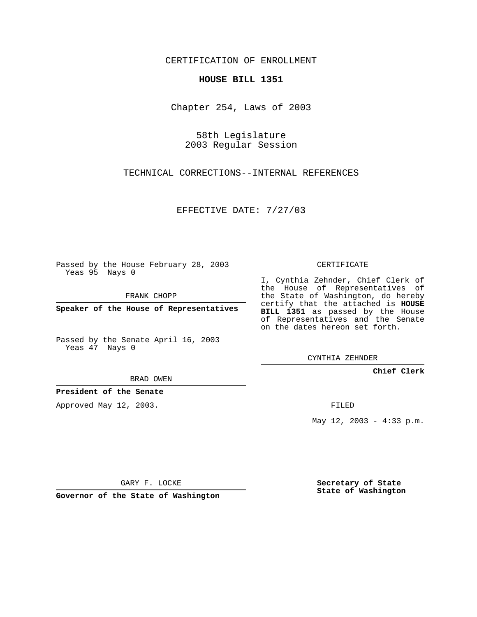CERTIFICATION OF ENROLLMENT

### **HOUSE BILL 1351**

Chapter 254, Laws of 2003

58th Legislature 2003 Regular Session

TECHNICAL CORRECTIONS--INTERNAL REFERENCES

EFFECTIVE DATE: 7/27/03

Passed by the House February 28, 2003 Yeas 95 Nays 0

FRANK CHOPP

**Speaker of the House of Representatives**

Passed by the Senate April 16, 2003 Yeas 47 Nays 0

BRAD OWEN

**President of the Senate**

Approved May 12, 2003.

CERTIFICATE

I, Cynthia Zehnder, Chief Clerk of the House of Representatives of the State of Washington, do hereby certify that the attached is **HOUSE BILL 1351** as passed by the House of Representatives and the Senate on the dates hereon set forth.

CYNTHIA ZEHNDER

**Chief Clerk**

FILED

May 12, 2003 - 4:33 p.m.

GARY F. LOCKE

**Governor of the State of Washington**

**Secretary of State State of Washington**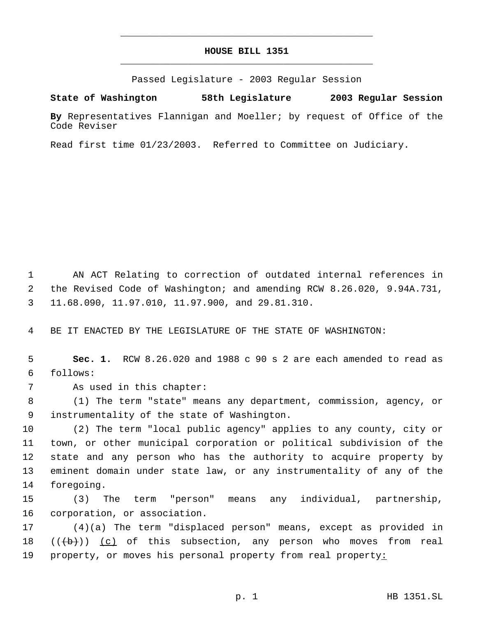# **HOUSE BILL 1351** \_\_\_\_\_\_\_\_\_\_\_\_\_\_\_\_\_\_\_\_\_\_\_\_\_\_\_\_\_\_\_\_\_\_\_\_\_\_\_\_\_\_\_\_\_

\_\_\_\_\_\_\_\_\_\_\_\_\_\_\_\_\_\_\_\_\_\_\_\_\_\_\_\_\_\_\_\_\_\_\_\_\_\_\_\_\_\_\_\_\_

Passed Legislature - 2003 Regular Session

**State of Washington 58th Legislature 2003 Regular Session**

**By** Representatives Flannigan and Moeller; by request of Office of the Code Reviser

Read first time 01/23/2003. Referred to Committee on Judiciary.

 AN ACT Relating to correction of outdated internal references in the Revised Code of Washington; and amending RCW 8.26.020, 9.94A.731, 11.68.090, 11.97.010, 11.97.900, and 29.81.310.

BE IT ENACTED BY THE LEGISLATURE OF THE STATE OF WASHINGTON:

 **Sec. 1.** RCW 8.26.020 and 1988 c 90 s 2 are each amended to read as follows:

As used in this chapter:

 (1) The term "state" means any department, commission, agency, or instrumentality of the state of Washington.

 (2) The term "local public agency" applies to any county, city or town, or other municipal corporation or political subdivision of the state and any person who has the authority to acquire property by eminent domain under state law, or any instrumentality of any of the foregoing.

 (3) The term "person" means any individual, partnership, corporation, or association.

 (4)(a) The term "displaced person" means, except as provided in 18  $((+b))$  (c) of this subsection, any person who moves from real property, or moves his personal property from real property: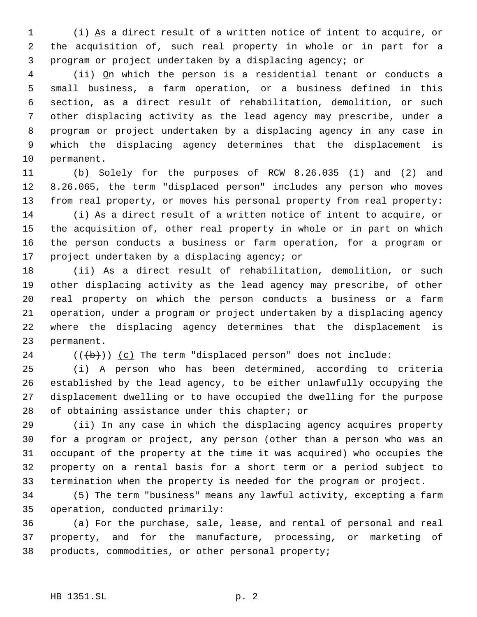(i) As a direct result of a written notice of intent to acquire, or the acquisition of, such real property in whole or in part for a program or project undertaken by a displacing agency; or

 (ii) On which the person is a residential tenant or conducts a small business, a farm operation, or a business defined in this section, as a direct result of rehabilitation, demolition, or such other displacing activity as the lead agency may prescribe, under a program or project undertaken by a displacing agency in any case in which the displacing agency determines that the displacement is permanent.

 (b) Solely for the purposes of RCW 8.26.035 (1) and (2) and 8.26.065, the term "displaced person" includes any person who moves 13 from real property, or moves his personal property from real property:

 (i) As a direct result of a written notice of intent to acquire, or the acquisition of, other real property in whole or in part on which the person conducts a business or farm operation, for a program or project undertaken by a displacing agency; or

 (ii) As a direct result of rehabilitation, demolition, or such other displacing activity as the lead agency may prescribe, of other real property on which the person conducts a business or a farm operation, under a program or project undertaken by a displacing agency where the displacing agency determines that the displacement is permanent.

24  $((\{b\}))(c)$  The term "displaced person" does not include:

 (i) A person who has been determined, according to criteria established by the lead agency, to be either unlawfully occupying the displacement dwelling or to have occupied the dwelling for the purpose 28 of obtaining assistance under this chapter; or

 (ii) In any case in which the displacing agency acquires property for a program or project, any person (other than a person who was an occupant of the property at the time it was acquired) who occupies the property on a rental basis for a short term or a period subject to termination when the property is needed for the program or project.

 (5) The term "business" means any lawful activity, excepting a farm operation, conducted primarily:

 (a) For the purchase, sale, lease, and rental of personal and real property, and for the manufacture, processing, or marketing of products, commodities, or other personal property;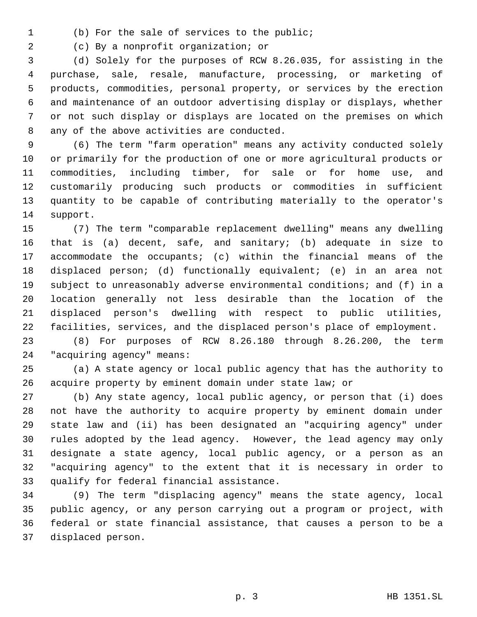(b) For the sale of services to the public;

(c) By a nonprofit organization; or

 (d) Solely for the purposes of RCW 8.26.035, for assisting in the purchase, sale, resale, manufacture, processing, or marketing of products, commodities, personal property, or services by the erection and maintenance of an outdoor advertising display or displays, whether or not such display or displays are located on the premises on which any of the above activities are conducted.

 (6) The term "farm operation" means any activity conducted solely or primarily for the production of one or more agricultural products or commodities, including timber, for sale or for home use, and customarily producing such products or commodities in sufficient quantity to be capable of contributing materially to the operator's support.

 (7) The term "comparable replacement dwelling" means any dwelling that is (a) decent, safe, and sanitary; (b) adequate in size to accommodate the occupants; (c) within the financial means of the displaced person; (d) functionally equivalent; (e) in an area not subject to unreasonably adverse environmental conditions; and (f) in a location generally not less desirable than the location of the displaced person's dwelling with respect to public utilities, facilities, services, and the displaced person's place of employment.

 (8) For purposes of RCW 8.26.180 through 8.26.200, the term "acquiring agency" means:

 (a) A state agency or local public agency that has the authority to acquire property by eminent domain under state law; or

 (b) Any state agency, local public agency, or person that (i) does not have the authority to acquire property by eminent domain under state law and (ii) has been designated an "acquiring agency" under rules adopted by the lead agency. However, the lead agency may only designate a state agency, local public agency, or a person as an "acquiring agency" to the extent that it is necessary in order to qualify for federal financial assistance.

 (9) The term "displacing agency" means the state agency, local public agency, or any person carrying out a program or project, with federal or state financial assistance, that causes a person to be a displaced person.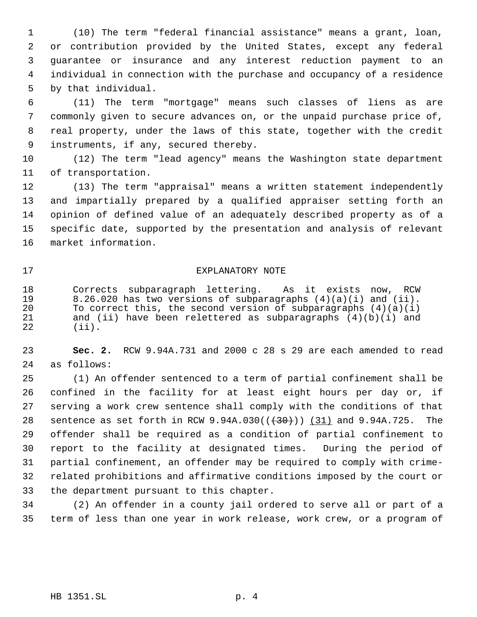(10) The term "federal financial assistance" means a grant, loan, or contribution provided by the United States, except any federal guarantee or insurance and any interest reduction payment to an individual in connection with the purchase and occupancy of a residence by that individual.

 (11) The term "mortgage" means such classes of liens as are commonly given to secure advances on, or the unpaid purchase price of, real property, under the laws of this state, together with the credit instruments, if any, secured thereby.

 (12) The term "lead agency" means the Washington state department of transportation.

 (13) The term "appraisal" means a written statement independently and impartially prepared by a qualified appraiser setting forth an opinion of defined value of an adequately described property as of a specific date, supported by the presentation and analysis of relevant market information.

### EXPLANATORY NOTE

18 Corrects subparagraph lettering. As it exists now, RCW<br>19 8.26.020 has two versions of subparagraphs (4)(a)(i) and (ii). 19 8.26.020 has two versions of subparagraphs (4)(a)(i) and (ii).<br>20 To correct this, the second version of subparagraphs (4)(a)(i) 20 To correct this, the second version of subparagraphs  $(4)(a)(i)$ <br>21 and (ii) have been relettered as subparagraphs  $(4)(b)(i)$  and 21 and (ii) have been relettered as subparagraphs (4)(b)(i) and 22 (ii).  $(iii)$ .

 **Sec. 2.** RCW 9.94A.731 and 2000 c 28 s 29 are each amended to read as follows:

 (1) An offender sentenced to a term of partial confinement shall be confined in the facility for at least eight hours per day or, if serving a work crew sentence shall comply with the conditions of that 28 sentence as set forth in RCW 9.94A.030( $(\frac{30}{10})$  (31) and 9.94A.725. The offender shall be required as a condition of partial confinement to report to the facility at designated times. During the period of partial confinement, an offender may be required to comply with crime- related prohibitions and affirmative conditions imposed by the court or the department pursuant to this chapter.

 (2) An offender in a county jail ordered to serve all or part of a term of less than one year in work release, work crew, or a program of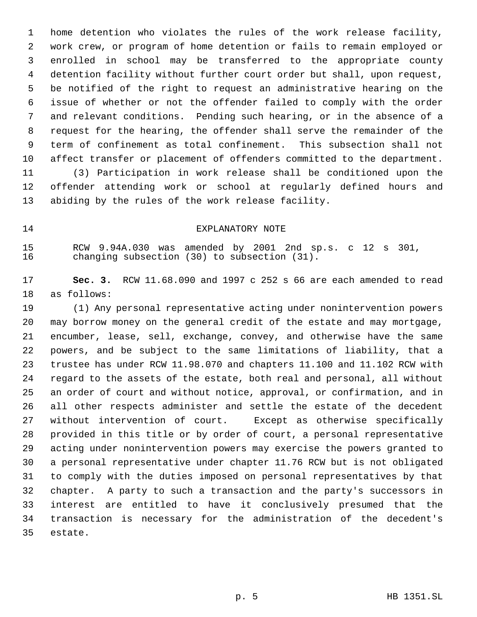home detention who violates the rules of the work release facility, work crew, or program of home detention or fails to remain employed or enrolled in school may be transferred to the appropriate county detention facility without further court order but shall, upon request, be notified of the right to request an administrative hearing on the issue of whether or not the offender failed to comply with the order and relevant conditions. Pending such hearing, or in the absence of a request for the hearing, the offender shall serve the remainder of the term of confinement as total confinement. This subsection shall not affect transfer or placement of offenders committed to the department. (3) Participation in work release shall be conditioned upon the offender attending work or school at regularly defined hours and abiding by the rules of the work release facility.

14 EXPLANATORY NOTE

15 RCW 9.94A.030 was amended by 2001 2nd sp.s. c 12 s 301,<br>16 changing subsection (30) to subsection (31). changing subsection  $(30)$  to subsection  $(31)$ .

 **Sec. 3.** RCW 11.68.090 and 1997 c 252 s 66 are each amended to read as follows:

 (1) Any personal representative acting under nonintervention powers may borrow money on the general credit of the estate and may mortgage, encumber, lease, sell, exchange, convey, and otherwise have the same powers, and be subject to the same limitations of liability, that a trustee has under RCW 11.98.070 and chapters 11.100 and 11.102 RCW with regard to the assets of the estate, both real and personal, all without an order of court and without notice, approval, or confirmation, and in all other respects administer and settle the estate of the decedent without intervention of court. Except as otherwise specifically provided in this title or by order of court, a personal representative acting under nonintervention powers may exercise the powers granted to a personal representative under chapter 11.76 RCW but is not obligated to comply with the duties imposed on personal representatives by that chapter. A party to such a transaction and the party's successors in interest are entitled to have it conclusively presumed that the transaction is necessary for the administration of the decedent's estate.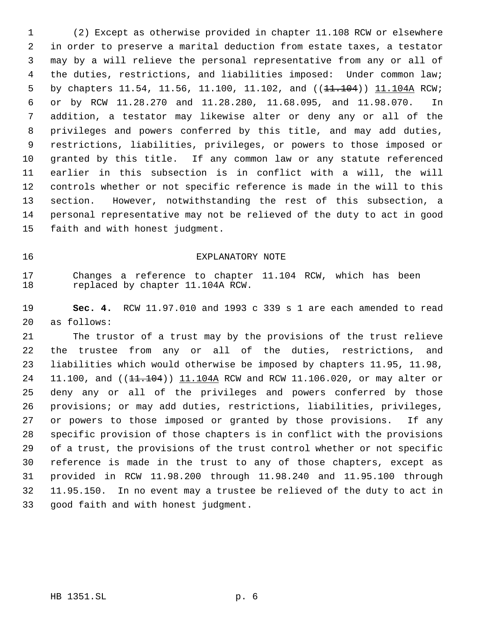(2) Except as otherwise provided in chapter 11.108 RCW or elsewhere in order to preserve a marital deduction from estate taxes, a testator may by a will relieve the personal representative from any or all of the duties, restrictions, and liabilities imposed: Under common law; 5 by chapters 11.54, 11.56, 11.100, 11.102, and (( $\frac{11.104}{11.104A}$  RCW; or by RCW 11.28.270 and 11.28.280, 11.68.095, and 11.98.070. In addition, a testator may likewise alter or deny any or all of the privileges and powers conferred by this title, and may add duties, restrictions, liabilities, privileges, or powers to those imposed or granted by this title. If any common law or any statute referenced earlier in this subsection is in conflict with a will, the will controls whether or not specific reference is made in the will to this section. However, notwithstanding the rest of this subsection, a personal representative may not be relieved of the duty to act in good faith and with honest judgment.

## EXPLANATORY NOTE

 Changes a reference to chapter 11.104 RCW, which has been replaced by chapter 11.104A RCW.

 **Sec. 4.** RCW 11.97.010 and 1993 c 339 s 1 are each amended to read as follows:

 The trustor of a trust may by the provisions of the trust relieve the trustee from any or all of the duties, restrictions, and liabilities which would otherwise be imposed by chapters 11.95, 11.98, 24 11.100, and ((11.104)) 11.104A RCW and RCW 11.106.020, or may alter or deny any or all of the privileges and powers conferred by those provisions; or may add duties, restrictions, liabilities, privileges, or powers to those imposed or granted by those provisions. If any specific provision of those chapters is in conflict with the provisions of a trust, the provisions of the trust control whether or not specific reference is made in the trust to any of those chapters, except as provided in RCW 11.98.200 through 11.98.240 and 11.95.100 through 11.95.150. In no event may a trustee be relieved of the duty to act in good faith and with honest judgment.